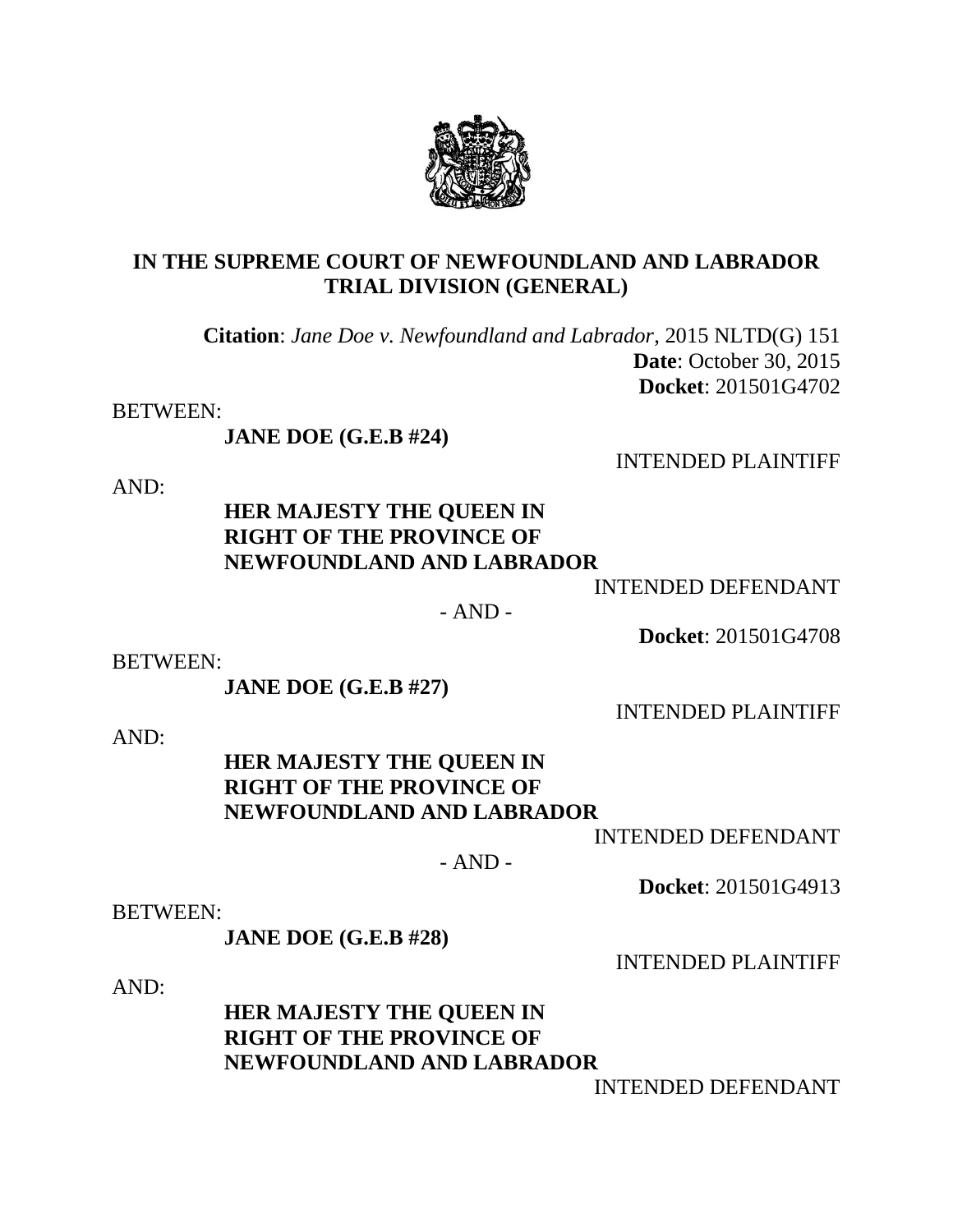### **IN THE SUPREME COURT OF NEWFOUNDLAND AND LABRADOR TRIAL DIVISION (GENERAL)**

**Citation**: *Jane Doe v. Newfoundland and Labrador*, 2015 NLTD(G) 151  **Date**: October 30, 2015 **Docket**: 201501G4702

BETWEEN:

**JANE DOE (G.E.B #24)**

INTENDED PLAINTIFF

AND:

# **HER MAJESTY THE QUEEN IN RIGHT OF THE PROVINCE OF NEWFOUNDLAND AND LABRADOR**

INTENDED DEFENDANT

 $- AND -$ 

**Docket**: 201501G4708

BETWEEN:

**JANE DOE (G.E.B #27)**

INTENDED PLAINTIFF

AND:

### **HER MAJESTY THE QUEEN IN RIGHT OF THE PROVINCE OF NEWFOUNDLAND AND LABRADOR**

INTENDED DEFENDANT

- AND -

**Docket**: 201501G4913

BETWEEN:

**JANE DOE (G.E.B #28)**

INTENDED PLAINTIFF

AND:

# **HER MAJESTY THE QUEEN IN RIGHT OF THE PROVINCE OF NEWFOUNDLAND AND LABRADOR**

INTENDED DEFENDANT

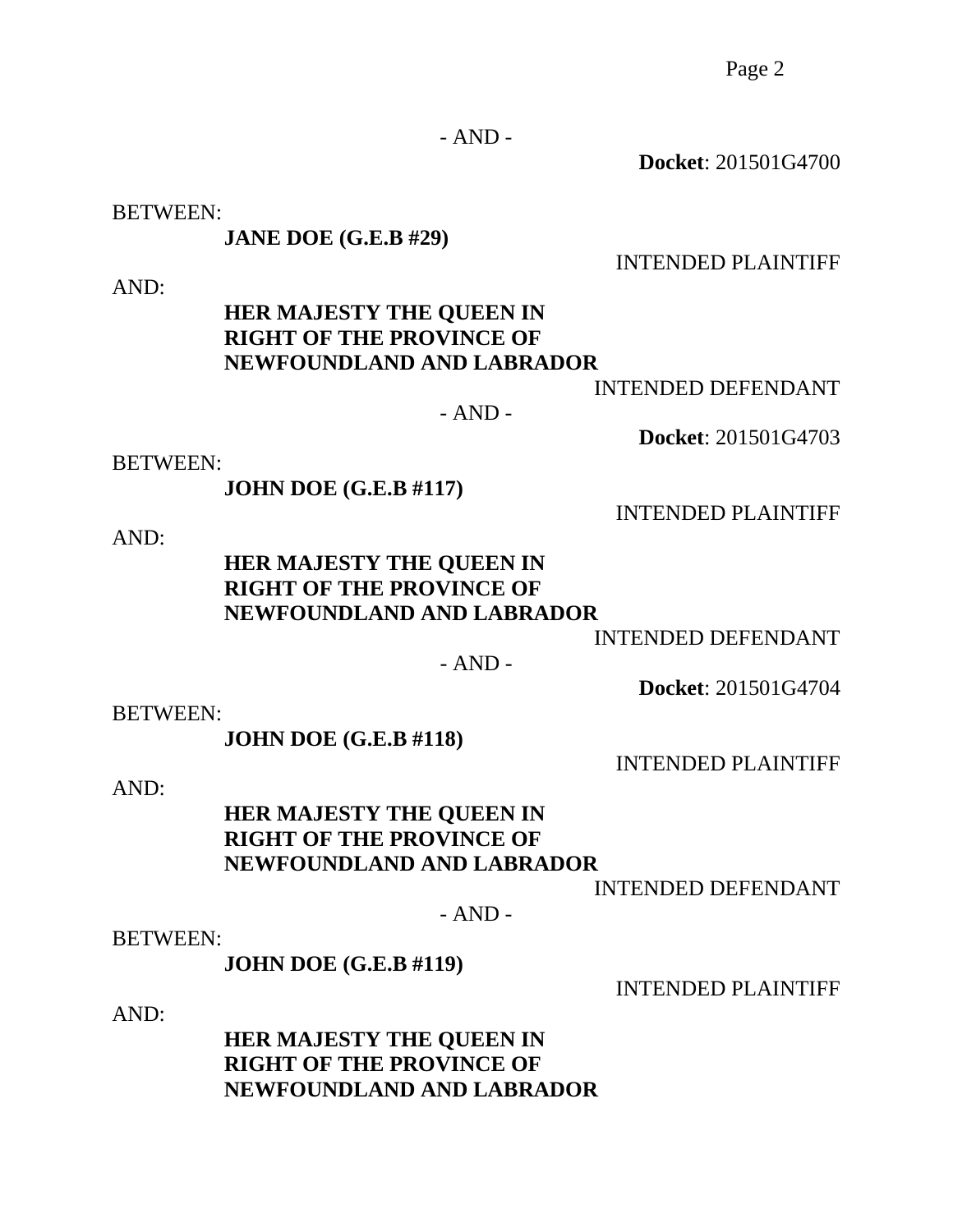Page 2

- AND -

**Docket**: 201501G4700

BETWEEN:

**JANE DOE (G.E.B #29)**

INTENDED PLAINTIFF

AND:

### **HER MAJESTY THE QUEEN IN RIGHT OF THE PROVINCE OF NEWFOUNDLAND AND LABRADOR**

INTENDED DEFENDANT

- AND -

BETWEEN:

**JOHN DOE (G.E.B #117)**

AND:

### **HER MAJESTY THE QUEEN IN RIGHT OF THE PROVINCE OF NEWFOUNDLAND AND LABRADOR**

INTENDED DEFENDANT

 $- AND -$ 

**Docket**: 201501G4704

BETWEEN:

**JOHN DOE (G.E.B #118)**

INTENDED PLAINTIFF

AND:

# **HER MAJESTY THE QUEEN IN RIGHT OF THE PROVINCE OF NEWFOUNDLAND AND LABRADOR**

INTENDED DEFENDANT

 $- AND -$ 

BETWEEN:

**JOHN DOE (G.E.B #119)**

INTENDED PLAINTIFF

AND:

## **HER MAJESTY THE QUEEN IN RIGHT OF THE PROVINCE OF NEWFOUNDLAND AND LABRADOR**

INTENDED PLAINTIFF

**Docket**: 201501G4703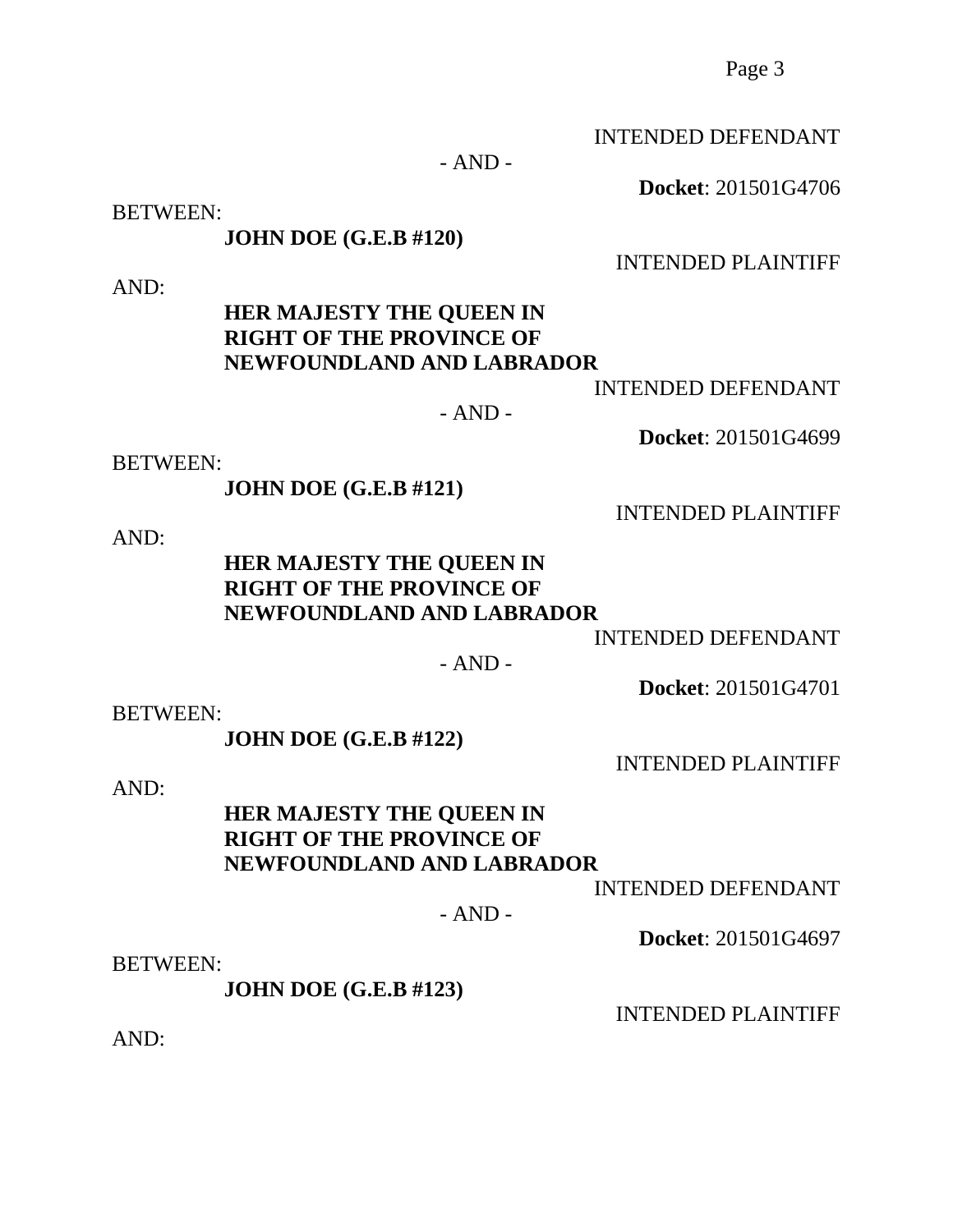Page 3

INTENDED DEFENDANT

**Docket**: 201501G4706

INTENDED PLAINTIFF

- AND -

BETWEEN:

**JOHN DOE (G.E.B #120)**

AND:

### **HER MAJESTY THE QUEEN IN RIGHT OF THE PROVINCE OF NEWFOUNDLAND AND LABRADOR**

INTENDED DEFENDANT

 $- AND -$ 

BETWEEN:

**JOHN DOE (G.E.B #121)**

AND:

### **HER MAJESTY THE QUEEN IN RIGHT OF THE PROVINCE OF NEWFOUNDLAND AND LABRADOR**

INTENDED DEFENDANT

 $- AND -$ 

**Docket**: 201501G4701

BETWEEN:

**JOHN DOE (G.E.B #122)**

INTENDED PLAINTIFF

AND:

# **HER MAJESTY THE QUEEN IN RIGHT OF THE PROVINCE OF NEWFOUNDLAND AND LABRADOR**

INTENDED DEFENDANT

 $- AND -$ 

**Docket**: 201501G4697

BETWEEN:

**JOHN DOE (G.E.B #123)**

INTENDED PLAINTIFF

AND:

INTENDED PLAINTIFF

**Docket**: 201501G4699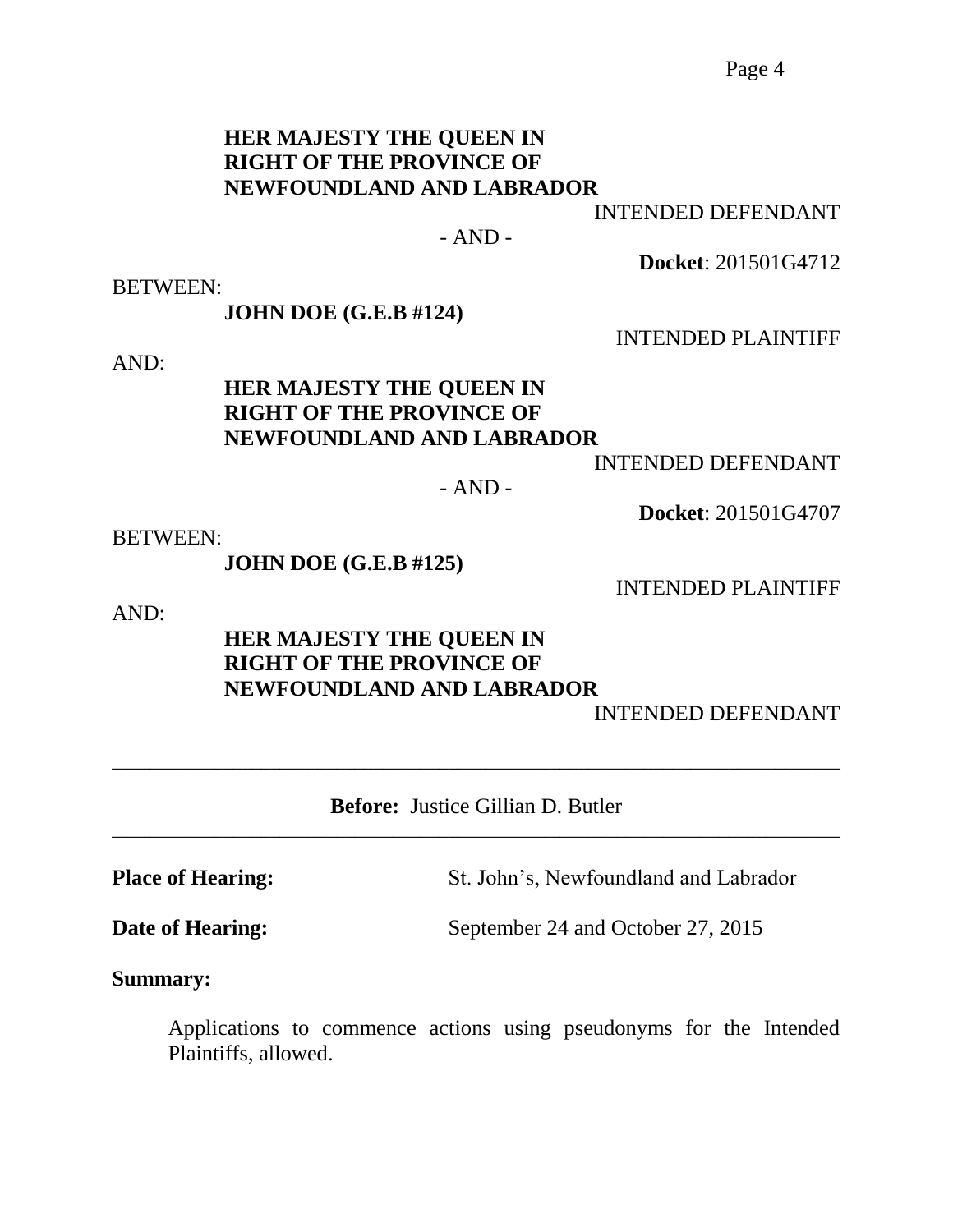#### **HER MAJESTY THE QUEEN IN RIGHT OF THE PROVINCE OF NEWFOUNDLAND AND LABRADOR**

INTENDED DEFENDANT

#### $- AND -$

**Docket**: 201501G4712

BETWEEN:

**JOHN DOE (G.E.B #124)**

INTENDED PLAINTIFF

AND:

### **HER MAJESTY THE QUEEN IN RIGHT OF THE PROVINCE OF NEWFOUNDLAND AND LABRADOR**

INTENDED DEFENDANT

 $- AND -$ 

**Docket**: 201501G4707

BETWEEN:

**JOHN DOE (G.E.B #125)**

INTENDED PLAINTIFF

AND:

# **HER MAJESTY THE QUEEN IN RIGHT OF THE PROVINCE OF NEWFOUNDLAND AND LABRADOR**

INTENDED DEFENDANT

**Before:** Justice Gillian D. Butler \_\_\_\_\_\_\_\_\_\_\_\_\_\_\_\_\_\_\_\_\_\_\_\_\_\_\_\_\_\_\_\_\_\_\_\_\_\_\_\_\_\_\_\_\_\_\_\_\_\_\_\_\_\_\_\_\_\_\_\_\_\_\_\_\_\_\_\_\_\_\_\_\_\_\_\_\_\_

\_\_\_\_\_\_\_\_\_\_\_\_\_\_\_\_\_\_\_\_\_\_\_\_\_\_\_\_\_\_\_\_\_\_\_\_\_\_\_\_\_\_\_\_\_\_\_\_\_\_\_\_\_\_\_\_\_\_\_\_\_\_\_\_\_\_\_\_\_\_\_\_\_\_\_\_\_\_

**Place of Hearing:** St. John's, Newfoundland and Labrador

**Date of Hearing:** September 24 and October 27, 2015

**Summary:**

Applications to commence actions using pseudonyms for the Intended Plaintiffs, allowed.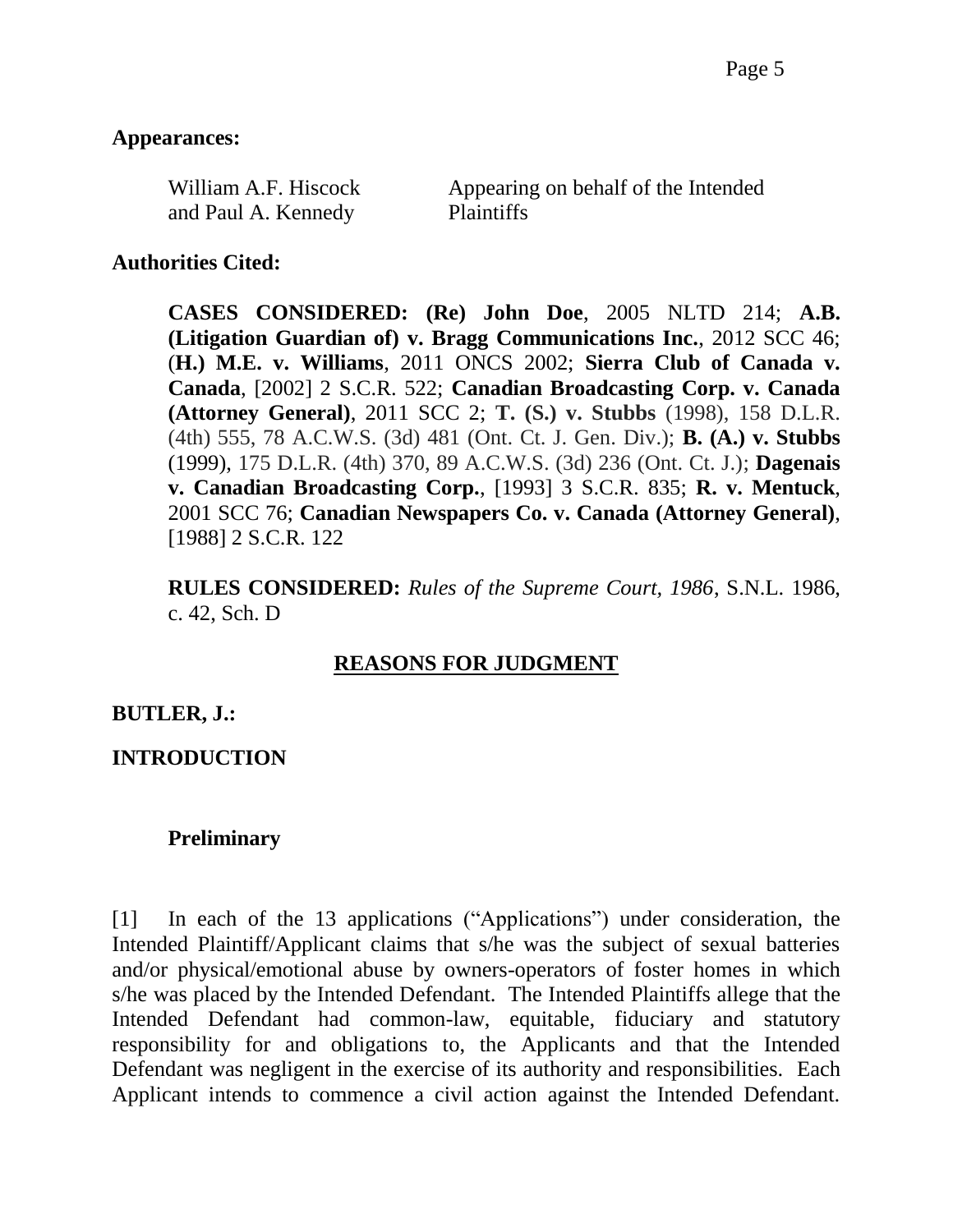#### **Appearances:**

| William A.F. Hiscock | Appearing on behalf of the Intended |
|----------------------|-------------------------------------|
| and Paul A. Kennedy  | <b>Plaintiffs</b>                   |

#### **Authorities Cited:**

**CASES CONSIDERED: (Re) John Doe**, 2005 NLTD 214; **A.B. (Litigation Guardian of) v. Bragg Communications Inc.**, 2012 SCC 46; (**H.) M.E. v. Williams**, 2011 ONCS 2002; **Sierra Club of Canada v. Canada**, [2002] 2 S.C.R. 522; **Canadian Broadcasting Corp. v. Canada (Attorney General)**, 2011 SCC 2; **T. (S.) v. Stubbs** (1998), 158 D.L.R. (4th) 555, 78 A.C.W.S. (3d) 481 (Ont. Ct. J. Gen. Div.); **B. (A.) v. Stubbs** (1999), 175 D.L.R. (4th) 370, 89 A.C.W.S. (3d) 236 (Ont. Ct. J.); **Dagenais v. Canadian Broadcasting Corp.**, [1993] 3 S.C.R. 835; **R. v. Mentuck**, 2001 SCC 76; **Canadian Newspapers Co. v. Canada (Attorney General)**, [1988] 2 S.C.R. 122

**RULES CONSIDERED:** *Rules of the Supreme Court, 1986*, S.N.L. 1986, c. 42, Sch. D

## **REASONS FOR JUDGMENT**

#### **BUTLER, J.:**

### **INTRODUCTION**

#### **Preliminary**

[1] In each of the 13 applications ("Applications") under consideration, the Intended Plaintiff/Applicant claims that s/he was the subject of sexual batteries and/or physical/emotional abuse by owners-operators of foster homes in which s/he was placed by the Intended Defendant. The Intended Plaintiffs allege that the Intended Defendant had common-law, equitable, fiduciary and statutory responsibility for and obligations to, the Applicants and that the Intended Defendant was negligent in the exercise of its authority and responsibilities. Each Applicant intends to commence a civil action against the Intended Defendant.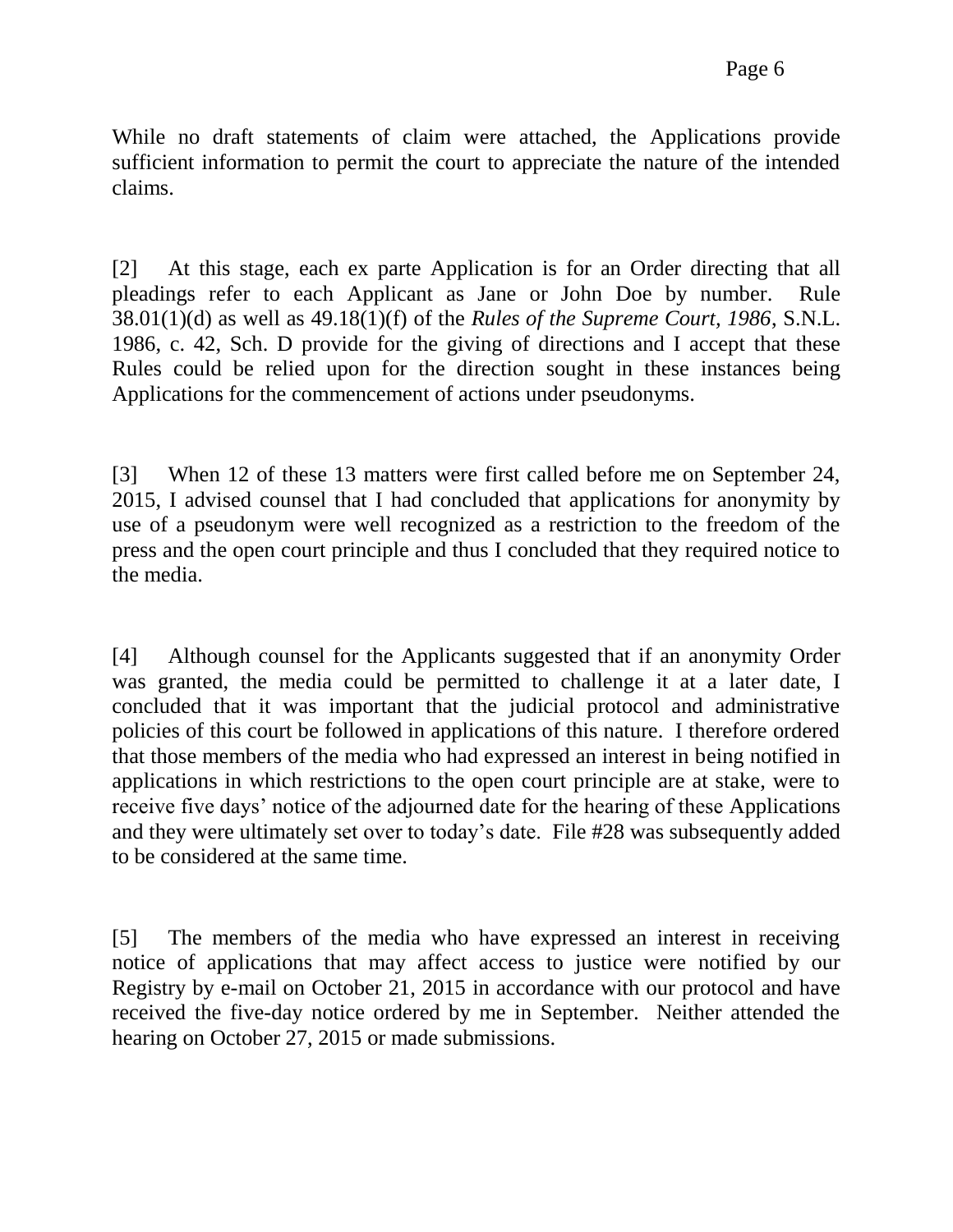While no draft statements of claim were attached, the Applications provide sufficient information to permit the court to appreciate the nature of the intended claims.

[2] At this stage, each ex parte Application is for an Order directing that all pleadings refer to each Applicant as Jane or John Doe by number. Rule 38.01(1)(d) as well as 49.18(1)(f) of the *Rules of the Supreme Court, 1986*, S.N.L. 1986, c. 42, Sch. D provide for the giving of directions and I accept that these Rules could be relied upon for the direction sought in these instances being Applications for the commencement of actions under pseudonyms.

[3] When 12 of these 13 matters were first called before me on September 24, 2015, I advised counsel that I had concluded that applications for anonymity by use of a pseudonym were well recognized as a restriction to the freedom of the press and the open court principle and thus I concluded that they required notice to the media.

[4] Although counsel for the Applicants suggested that if an anonymity Order was granted, the media could be permitted to challenge it at a later date, I concluded that it was important that the judicial protocol and administrative policies of this court be followed in applications of this nature. I therefore ordered that those members of the media who had expressed an interest in being notified in applications in which restrictions to the open court principle are at stake, were to receive five days' notice of the adjourned date for the hearing of these Applications and they were ultimately set over to today's date. File #28 was subsequently added to be considered at the same time.

[5] The members of the media who have expressed an interest in receiving notice of applications that may affect access to justice were notified by our Registry by e-mail on October 21, 2015 in accordance with our protocol and have received the five-day notice ordered by me in September. Neither attended the hearing on October 27, 2015 or made submissions.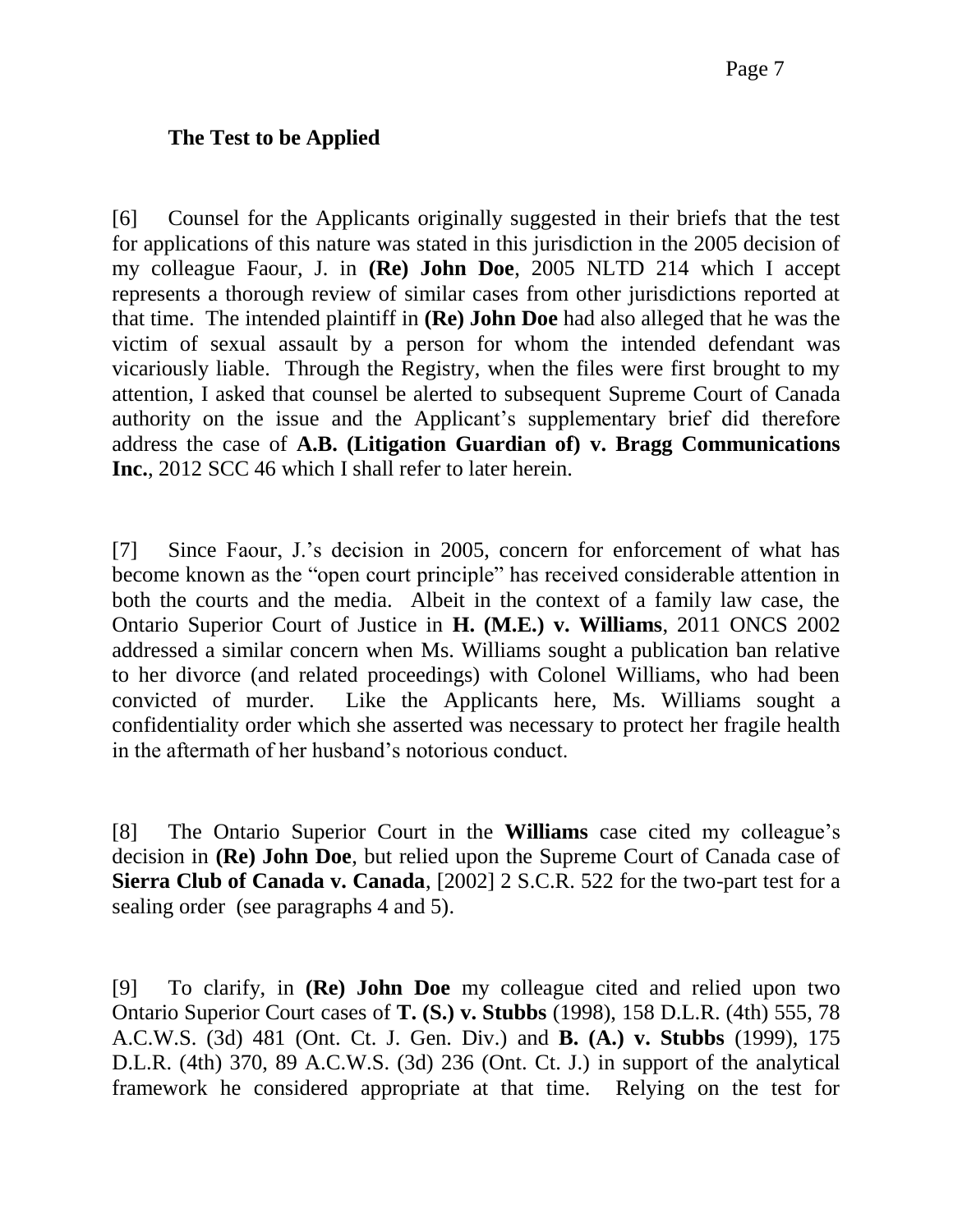### **The Test to be Applied**

[6] Counsel for the Applicants originally suggested in their briefs that the test for applications of this nature was stated in this jurisdiction in the 2005 decision of my colleague Faour, J. in **(Re) John Doe**, 2005 NLTD 214 which I accept represents a thorough review of similar cases from other jurisdictions reported at that time. The intended plaintiff in **(Re) John Doe** had also alleged that he was the victim of sexual assault by a person for whom the intended defendant was vicariously liable. Through the Registry, when the files were first brought to my attention, I asked that counsel be alerted to subsequent Supreme Court of Canada authority on the issue and the Applicant's supplementary brief did therefore address the case of **A.B. (Litigation Guardian of) v. Bragg Communications Inc.**, 2012 SCC 46 which I shall refer to later herein.

[7] Since Faour, J.'s decision in 2005, concern for enforcement of what has become known as the "open court principle" has received considerable attention in both the courts and the media. Albeit in the context of a family law case, the Ontario Superior Court of Justice in **H. (M.E.) v. Williams**, 2011 ONCS 2002 addressed a similar concern when Ms. Williams sought a publication ban relative to her divorce (and related proceedings) with Colonel Williams, who had been convicted of murder. Like the Applicants here, Ms. Williams sought a confidentiality order which she asserted was necessary to protect her fragile health in the aftermath of her husband's notorious conduct.

[8] The Ontario Superior Court in the **Williams** case cited my colleague's decision in **(Re) John Doe**, but relied upon the Supreme Court of Canada case of **Sierra Club of Canada v. Canada**, [2002] 2 S.C.R. 522 for the two-part test for a sealing order (see paragraphs 4 and 5).

[9] To clarify, in **(Re) John Doe** my colleague cited and relied upon two Ontario Superior Court cases of **T. (S.) v. Stubbs** (1998), 158 D.L.R. (4th) 555, 78 A.C.W.S. (3d) 481 (Ont. Ct. J. Gen. Div.) and **B. (A.) v. Stubbs** (1999), 175 D.L.R. (4th) 370, 89 A.C.W.S. (3d) 236 (Ont. Ct. J.) in support of the analytical framework he considered appropriate at that time. Relying on the test for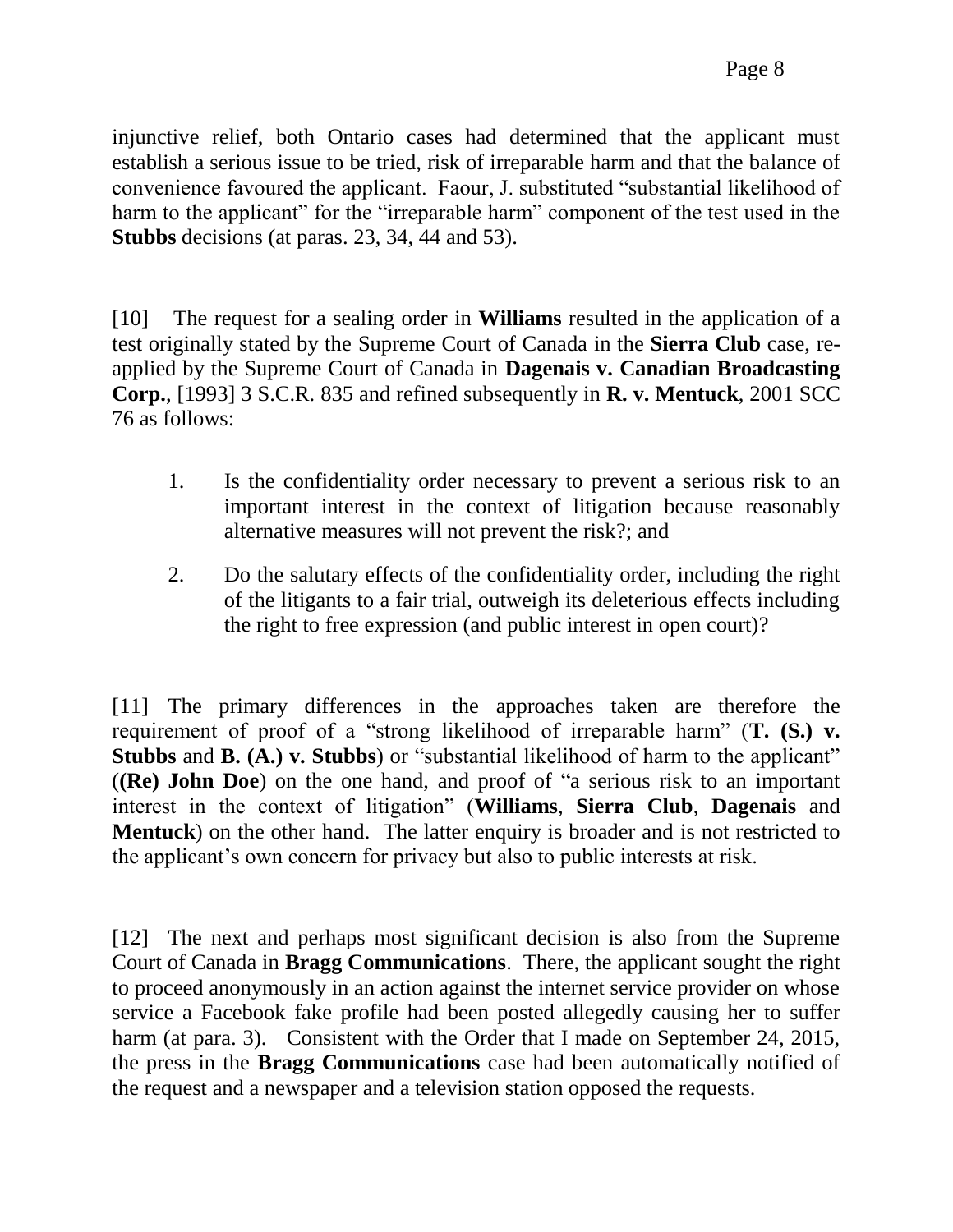[10] The request for a sealing order in **Williams** resulted in the application of a test originally stated by the Supreme Court of Canada in the **Sierra Club** case, reapplied by the Supreme Court of Canada in **Dagenais v. Canadian Broadcasting Corp.**, [1993] 3 S.C.R. 835 and refined subsequently in **R. v. Mentuck**, 2001 SCC 76 as follows:

- 1. Is the confidentiality order necessary to prevent a serious risk to an important interest in the context of litigation because reasonably alternative measures will not prevent the risk?; and
- 2. Do the salutary effects of the confidentiality order, including the right of the litigants to a fair trial, outweigh its deleterious effects including the right to free expression (and public interest in open court)?

[11] The primary differences in the approaches taken are therefore the requirement of proof of a "strong likelihood of irreparable harm" (**T. (S.) v. Stubbs** and **B.** (A.) v. Stubbs) or "substantial likelihood of harm to the applicant" (**(Re) John Doe**) on the one hand, and proof of "a serious risk to an important interest in the context of litigation" (**Williams**, **Sierra Club**, **Dagenais** and **Mentuck**) on the other hand. The latter enquiry is broader and is not restricted to the applicant's own concern for privacy but also to public interests at risk.

[12] The next and perhaps most significant decision is also from the Supreme Court of Canada in **Bragg Communications**. There, the applicant sought the right to proceed anonymously in an action against the internet service provider on whose service a Facebook fake profile had been posted allegedly causing her to suffer harm (at para. 3). Consistent with the Order that I made on September 24, 2015, the press in the **Bragg Communications** case had been automatically notified of the request and a newspaper and a television station opposed the requests.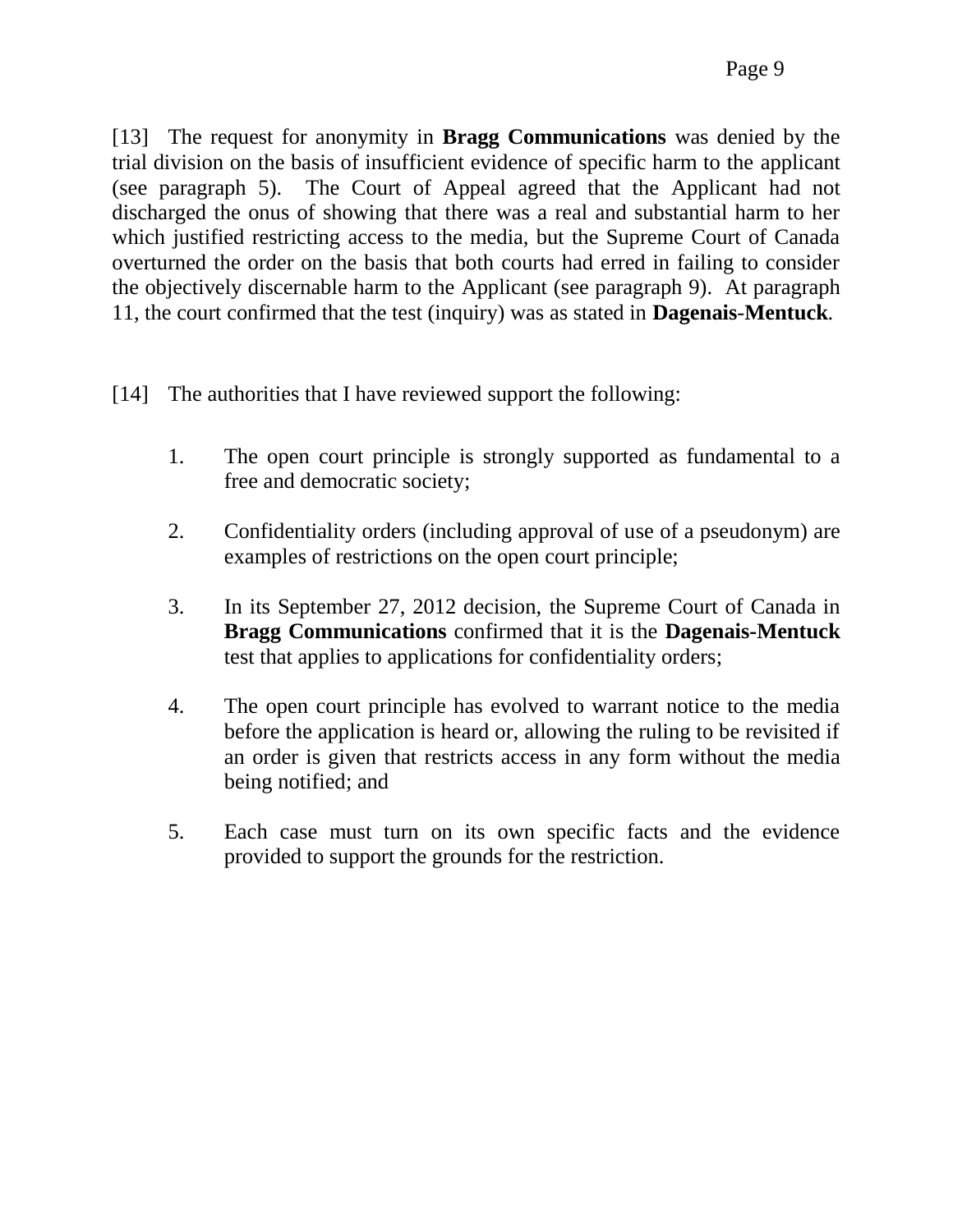[13] The request for anonymity in **Bragg Communications** was denied by the trial division on the basis of insufficient evidence of specific harm to the applicant (see paragraph 5). The Court of Appeal agreed that the Applicant had not discharged the onus of showing that there was a real and substantial harm to her which justified restricting access to the media, but the Supreme Court of Canada overturned the order on the basis that both courts had erred in failing to consider the objectively discernable harm to the Applicant (see paragraph 9). At paragraph 11, the court confirmed that the test (inquiry) was as stated in **Dagenais**-**Mentuck**.

- [14] The authorities that I have reviewed support the following:
	- 1. The open court principle is strongly supported as fundamental to a free and democratic society;
	- 2. Confidentiality orders (including approval of use of a pseudonym) are examples of restrictions on the open court principle;
	- 3. In its September 27, 2012 decision, the Supreme Court of Canada in **Bragg Communications** confirmed that it is the **Dagenais-Mentuck** test that applies to applications for confidentiality orders;
	- 4. The open court principle has evolved to warrant notice to the media before the application is heard or, allowing the ruling to be revisited if an order is given that restricts access in any form without the media being notified; and
	- 5. Each case must turn on its own specific facts and the evidence provided to support the grounds for the restriction.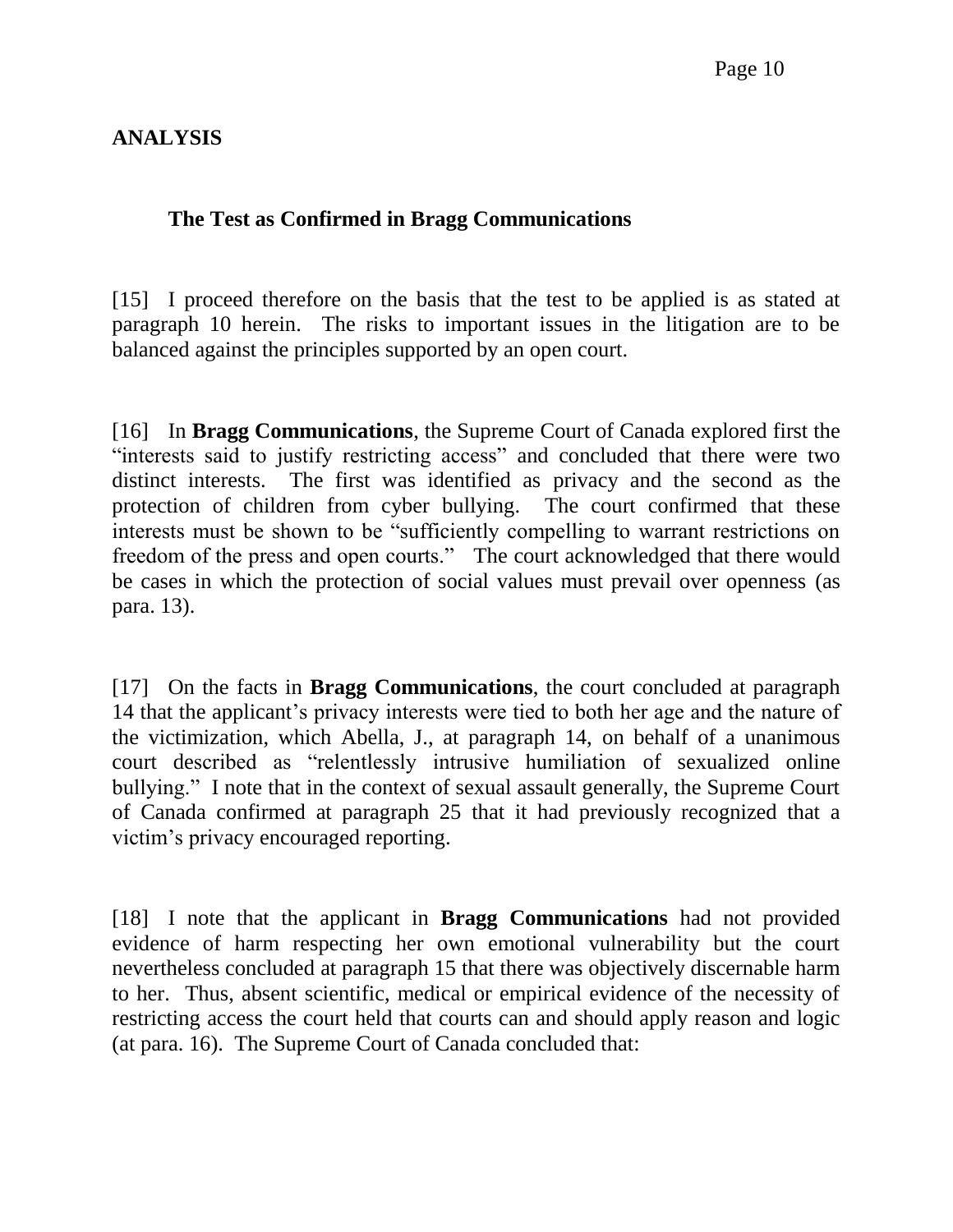# **ANALYSIS**

### **The Test as Confirmed in Bragg Communications**

[15] I proceed therefore on the basis that the test to be applied is as stated at paragraph 10 herein. The risks to important issues in the litigation are to be balanced against the principles supported by an open court.

[16] In **Bragg Communications**, the Supreme Court of Canada explored first the "interests said to justify restricting access" and concluded that there were two distinct interests. The first was identified as privacy and the second as the protection of children from cyber bullying. The court confirmed that these interests must be shown to be "sufficiently compelling to warrant restrictions on freedom of the press and open courts." The court acknowledged that there would be cases in which the protection of social values must prevail over openness (as para. 13).

[17] On the facts in **Bragg Communications**, the court concluded at paragraph 14 that the applicant's privacy interests were tied to both her age and the nature of the victimization, which Abella, J., at paragraph 14, on behalf of a unanimous court described as "relentlessly intrusive humiliation of sexualized online bullying." I note that in the context of sexual assault generally, the Supreme Court of Canada confirmed at paragraph 25 that it had previously recognized that a victim's privacy encouraged reporting.

[18] I note that the applicant in **Bragg Communications** had not provided evidence of harm respecting her own emotional vulnerability but the court nevertheless concluded at paragraph 15 that there was objectively discernable harm to her. Thus, absent scientific, medical or empirical evidence of the necessity of restricting access the court held that courts can and should apply reason and logic (at para. 16). The Supreme Court of Canada concluded that: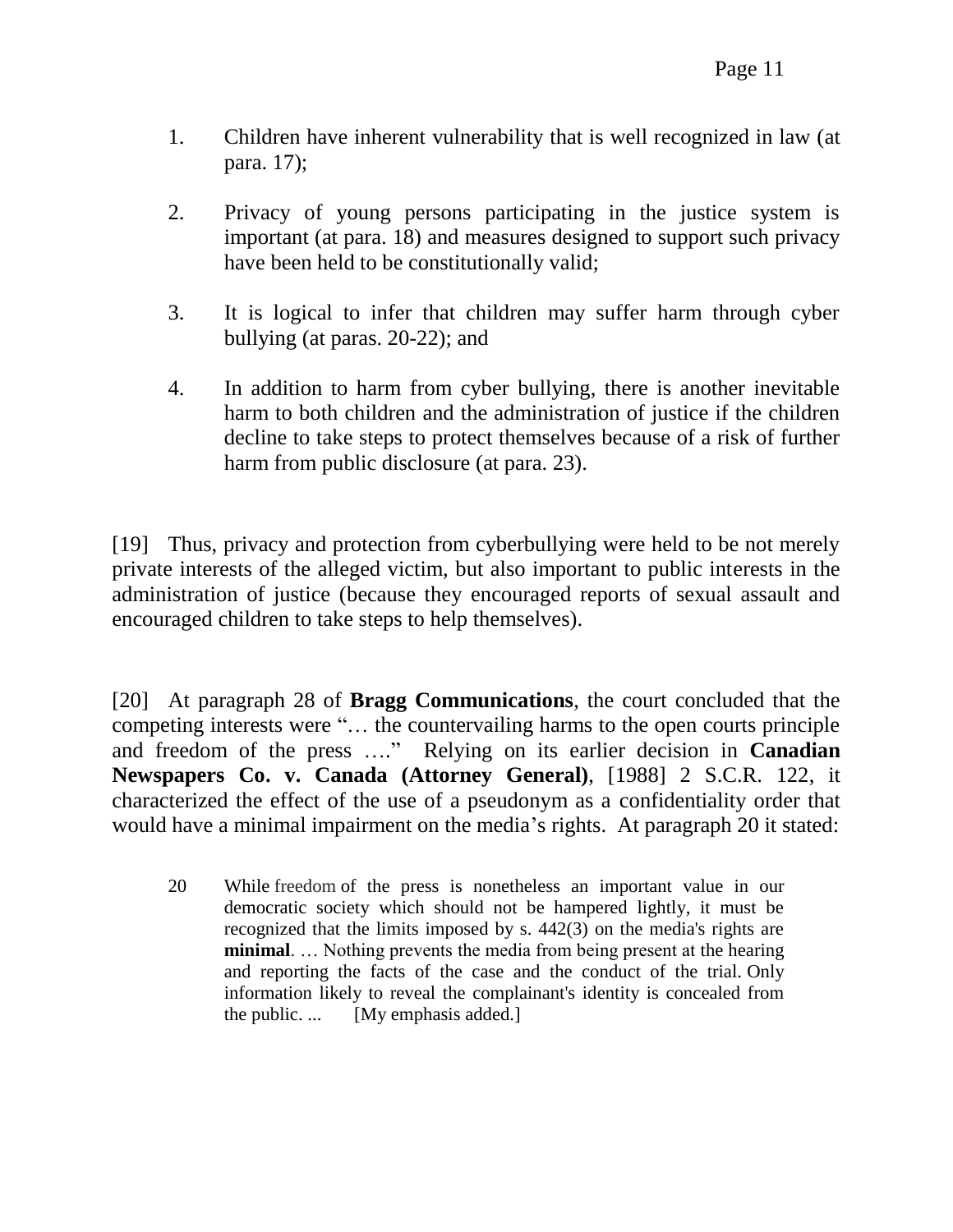- 1. Children have inherent vulnerability that is well recognized in law (at para. 17);
- 2. Privacy of young persons participating in the justice system is important (at para. 18) and measures designed to support such privacy have been held to be constitutionally valid;
- 3. It is logical to infer that children may suffer harm through cyber bullying (at paras. 20-22); and
- 4. In addition to harm from cyber bullying, there is another inevitable harm to both children and the administration of justice if the children decline to take steps to protect themselves because of a risk of further harm from public disclosure (at para. 23).

[19] Thus, privacy and protection from cyberbullying were held to be not merely private interests of the alleged victim, but also important to public interests in the administration of justice (because they encouraged reports of sexual assault and encouraged children to take steps to help themselves).

[20] At paragraph 28 of **Bragg Communications**, the court concluded that the competing interests were "… the countervailing harms to the open courts principle and freedom of the press …." Relying on its earlier decision in **Canadian Newspapers Co. v. Canada (Attorney General)**, [1988] 2 S.C.R. 122, it characterized the effect of the use of a pseudonym as a confidentiality order that would have a minimal impairment on the media's rights. At paragraph 20 it stated:

20 While freedom of the press is nonetheless an important value in our democratic society which should not be hampered lightly, it must be recognized that the limits imposed by s. 442(3) on the media's rights are **minimal**. … Nothing prevents the media from being present at the hearing and reporting the facts of the case and the conduct of the trial. Only information likely to reveal the complainant's identity is concealed from the public. ... [My emphasis added.]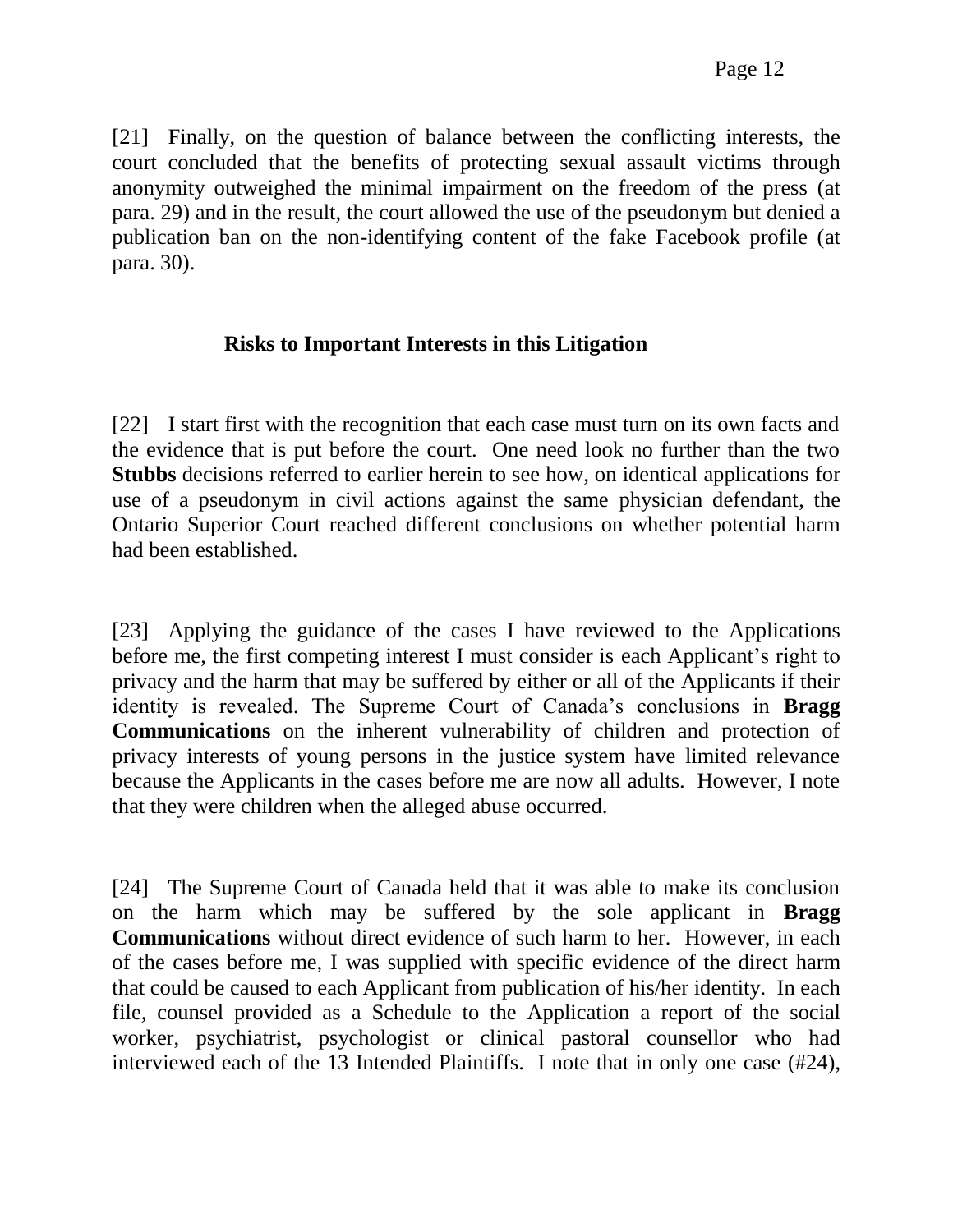[21] Finally, on the question of balance between the conflicting interests, the court concluded that the benefits of protecting sexual assault victims through anonymity outweighed the minimal impairment on the freedom of the press (at para. 29) and in the result, the court allowed the use of the pseudonym but denied a publication ban on the non-identifying content of the fake Facebook profile (at para. 30).

## **Risks to Important Interests in this Litigation**

[22] I start first with the recognition that each case must turn on its own facts and the evidence that is put before the court. One need look no further than the two **Stubbs** decisions referred to earlier herein to see how, on identical applications for use of a pseudonym in civil actions against the same physician defendant, the Ontario Superior Court reached different conclusions on whether potential harm had been established.

[23] Applying the guidance of the cases I have reviewed to the Applications before me, the first competing interest I must consider is each Applicant's right to privacy and the harm that may be suffered by either or all of the Applicants if their identity is revealed. The Supreme Court of Canada's conclusions in **Bragg Communications** on the inherent vulnerability of children and protection of privacy interests of young persons in the justice system have limited relevance because the Applicants in the cases before me are now all adults. However, I note that they were children when the alleged abuse occurred.

[24] The Supreme Court of Canada held that it was able to make its conclusion on the harm which may be suffered by the sole applicant in **Bragg Communications** without direct evidence of such harm to her. However, in each of the cases before me, I was supplied with specific evidence of the direct harm that could be caused to each Applicant from publication of his/her identity. In each file, counsel provided as a Schedule to the Application a report of the social worker, psychiatrist, psychologist or clinical pastoral counsellor who had interviewed each of the 13 Intended Plaintiffs. I note that in only one case (#24),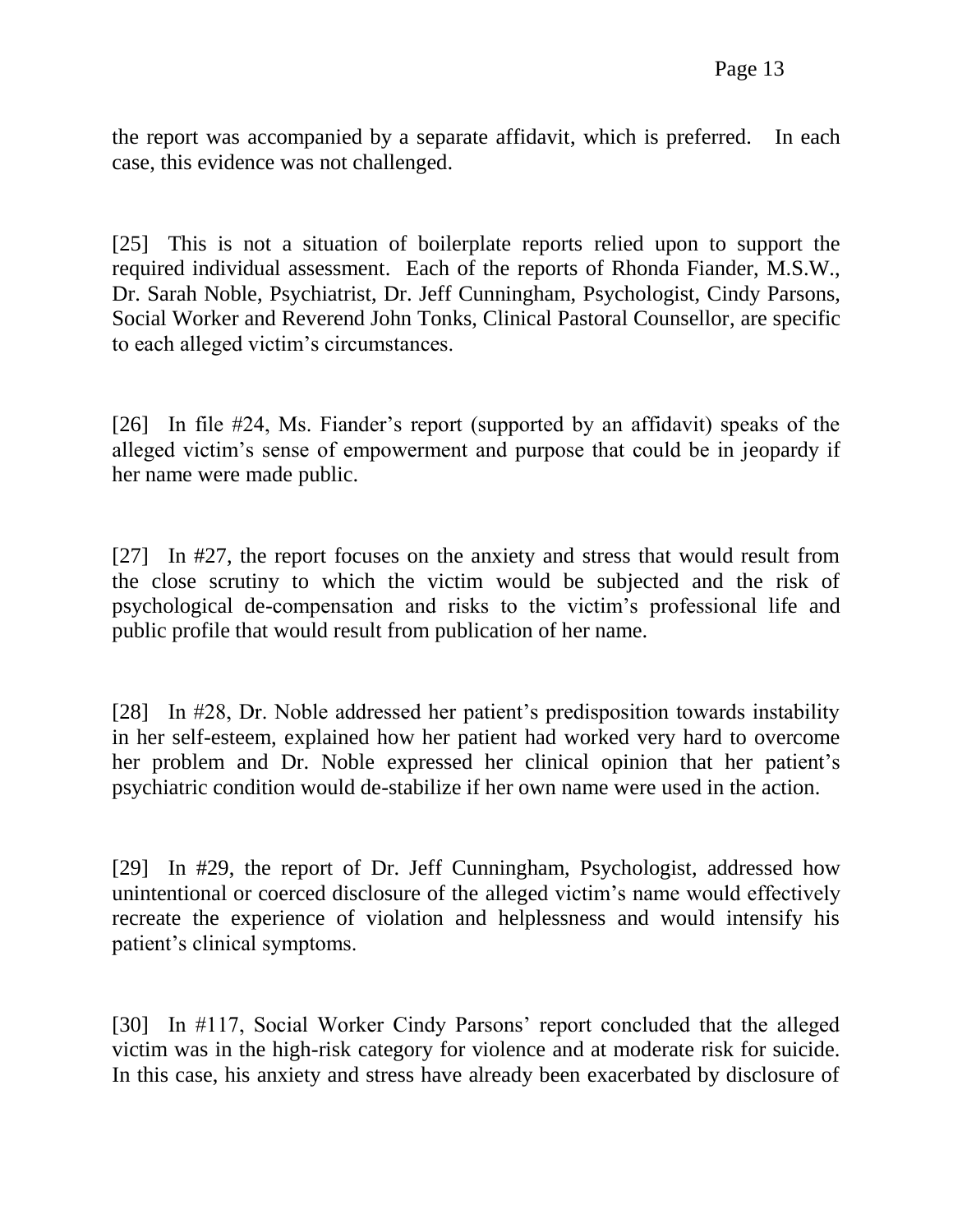the report was accompanied by a separate affidavit, which is preferred. In each case, this evidence was not challenged.

[25] This is not a situation of boilerplate reports relied upon to support the required individual assessment. Each of the reports of Rhonda Fiander, M.S.W., Dr. Sarah Noble, Psychiatrist, Dr. Jeff Cunningham, Psychologist, Cindy Parsons, Social Worker and Reverend John Tonks, Clinical Pastoral Counsellor, are specific to each alleged victim's circumstances.

[26] In file #24, Ms. Fiander's report (supported by an affidavit) speaks of the alleged victim's sense of empowerment and purpose that could be in jeopardy if her name were made public.

[27] In #27, the report focuses on the anxiety and stress that would result from the close scrutiny to which the victim would be subjected and the risk of psychological de-compensation and risks to the victim's professional life and public profile that would result from publication of her name.

[28] In #28, Dr. Noble addressed her patient's predisposition towards instability in her self-esteem, explained how her patient had worked very hard to overcome her problem and Dr. Noble expressed her clinical opinion that her patient's psychiatric condition would de-stabilize if her own name were used in the action.

[29] In #29, the report of Dr. Jeff Cunningham, Psychologist, addressed how unintentional or coerced disclosure of the alleged victim's name would effectively recreate the experience of violation and helplessness and would intensify his patient's clinical symptoms.

[30] In #117, Social Worker Cindy Parsons' report concluded that the alleged victim was in the high-risk category for violence and at moderate risk for suicide. In this case, his anxiety and stress have already been exacerbated by disclosure of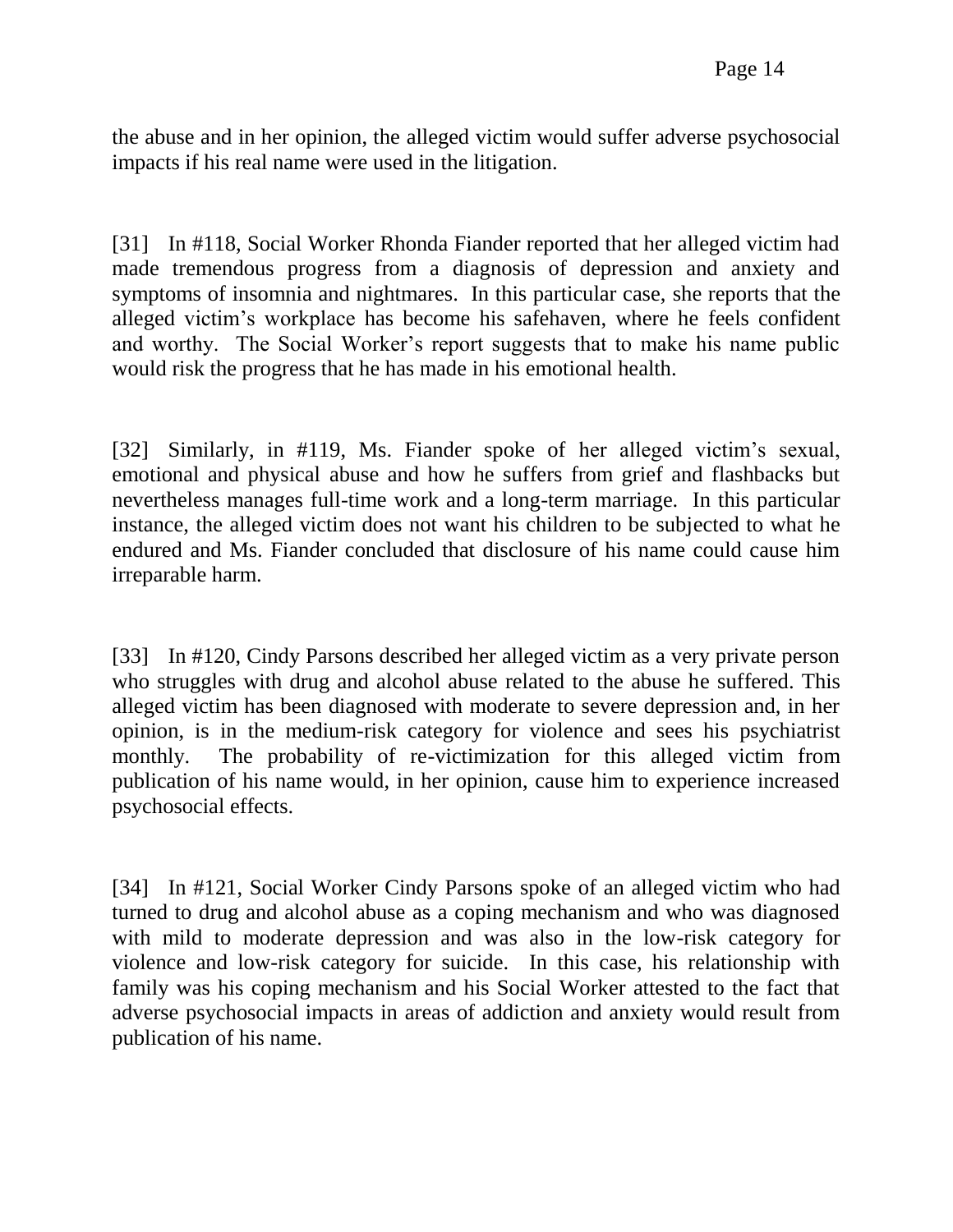the abuse and in her opinion, the alleged victim would suffer adverse psychosocial impacts if his real name were used in the litigation.

[31] In #118, Social Worker Rhonda Fiander reported that her alleged victim had made tremendous progress from a diagnosis of depression and anxiety and symptoms of insomnia and nightmares. In this particular case, she reports that the alleged victim's workplace has become his safehaven, where he feels confident and worthy. The Social Worker's report suggests that to make his name public would risk the progress that he has made in his emotional health.

[32] Similarly, in #119, Ms. Fiander spoke of her alleged victim's sexual, emotional and physical abuse and how he suffers from grief and flashbacks but nevertheless manages full-time work and a long-term marriage. In this particular instance, the alleged victim does not want his children to be subjected to what he endured and Ms. Fiander concluded that disclosure of his name could cause him irreparable harm.

[33] In #120, Cindy Parsons described her alleged victim as a very private person who struggles with drug and alcohol abuse related to the abuse he suffered. This alleged victim has been diagnosed with moderate to severe depression and, in her opinion, is in the medium-risk category for violence and sees his psychiatrist monthly. The probability of re-victimization for this alleged victim from publication of his name would, in her opinion, cause him to experience increased psychosocial effects.

[34] In #121, Social Worker Cindy Parsons spoke of an alleged victim who had turned to drug and alcohol abuse as a coping mechanism and who was diagnosed with mild to moderate depression and was also in the low-risk category for violence and low-risk category for suicide. In this case, his relationship with family was his coping mechanism and his Social Worker attested to the fact that adverse psychosocial impacts in areas of addiction and anxiety would result from publication of his name.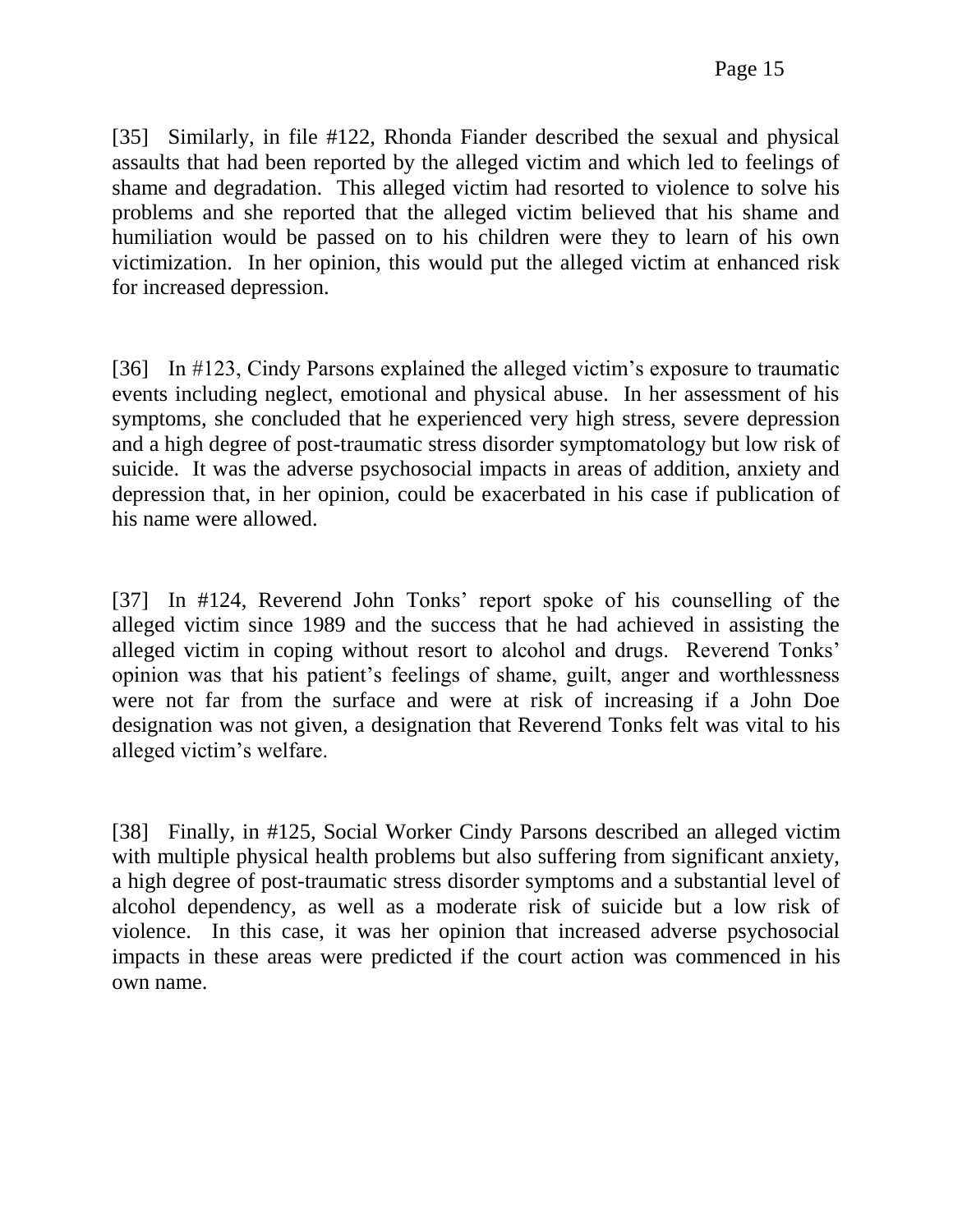[35] Similarly, in file #122, Rhonda Fiander described the sexual and physical assaults that had been reported by the alleged victim and which led to feelings of shame and degradation. This alleged victim had resorted to violence to solve his problems and she reported that the alleged victim believed that his shame and humiliation would be passed on to his children were they to learn of his own victimization. In her opinion, this would put the alleged victim at enhanced risk for increased depression.

[36] In #123, Cindy Parsons explained the alleged victim's exposure to traumatic events including neglect, emotional and physical abuse. In her assessment of his symptoms, she concluded that he experienced very high stress, severe depression and a high degree of post-traumatic stress disorder symptomatology but low risk of suicide. It was the adverse psychosocial impacts in areas of addition, anxiety and depression that, in her opinion, could be exacerbated in his case if publication of his name were allowed.

[37] In #124, Reverend John Tonks' report spoke of his counselling of the alleged victim since 1989 and the success that he had achieved in assisting the alleged victim in coping without resort to alcohol and drugs. Reverend Tonks' opinion was that his patient's feelings of shame, guilt, anger and worthlessness were not far from the surface and were at risk of increasing if a John Doe designation was not given, a designation that Reverend Tonks felt was vital to his alleged victim's welfare.

[38] Finally, in #125, Social Worker Cindy Parsons described an alleged victim with multiple physical health problems but also suffering from significant anxiety, a high degree of post-traumatic stress disorder symptoms and a substantial level of alcohol dependency, as well as a moderate risk of suicide but a low risk of violence. In this case, it was her opinion that increased adverse psychosocial impacts in these areas were predicted if the court action was commenced in his own name.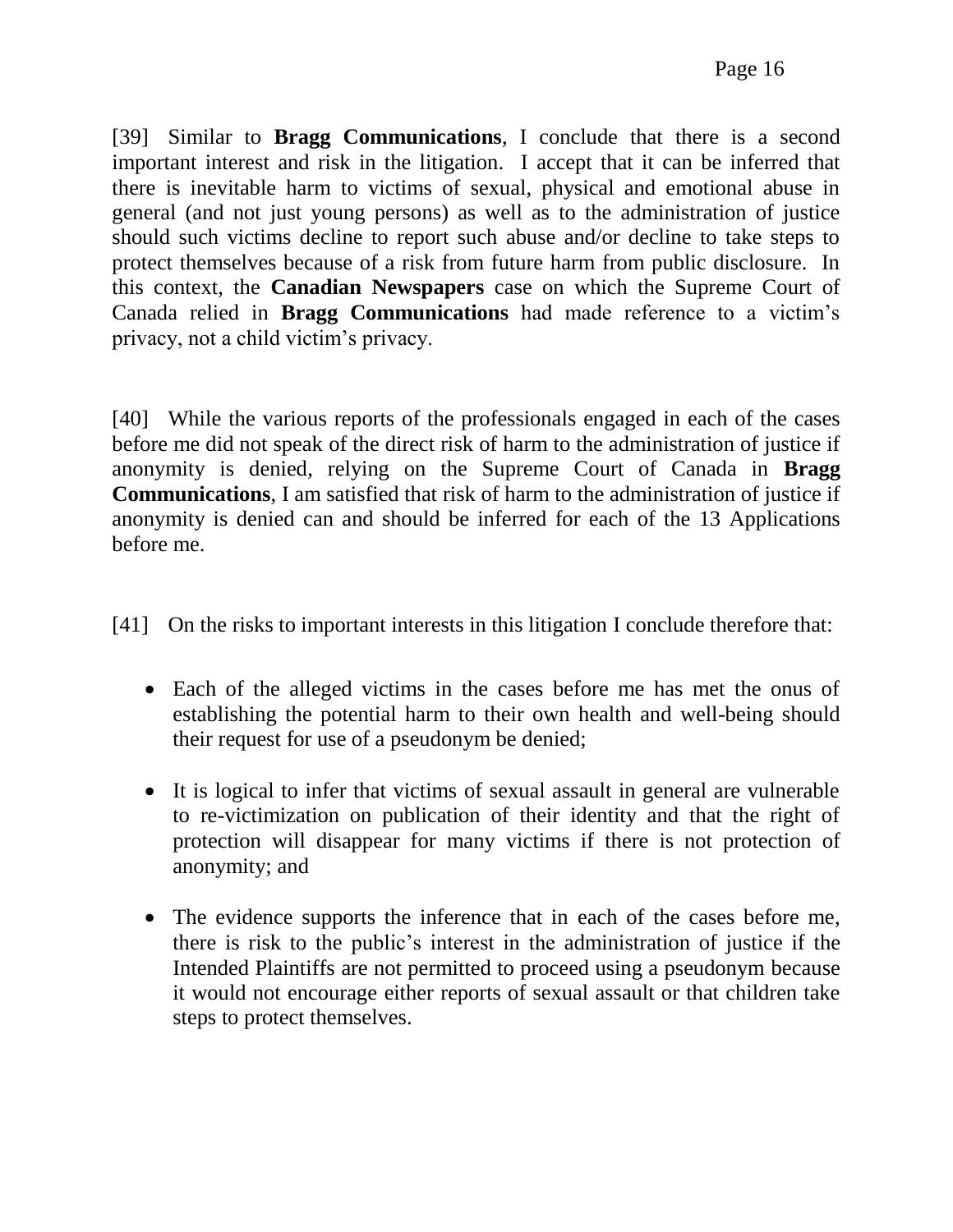[39] Similar to **Bragg Communications**, I conclude that there is a second important interest and risk in the litigation. I accept that it can be inferred that there is inevitable harm to victims of sexual, physical and emotional abuse in general (and not just young persons) as well as to the administration of justice should such victims decline to report such abuse and/or decline to take steps to protect themselves because of a risk from future harm from public disclosure. In this context, the **Canadian Newspapers** case on which the Supreme Court of Canada relied in **Bragg Communications** had made reference to a victim's privacy, not a child victim's privacy.

[40] While the various reports of the professionals engaged in each of the cases before me did not speak of the direct risk of harm to the administration of justice if anonymity is denied, relying on the Supreme Court of Canada in **Bragg Communications**, I am satisfied that risk of harm to the administration of justice if anonymity is denied can and should be inferred for each of the 13 Applications before me.

[41] On the risks to important interests in this litigation I conclude therefore that:

- Each of the alleged victims in the cases before me has met the onus of establishing the potential harm to their own health and well-being should their request for use of a pseudonym be denied;
- It is logical to infer that victims of sexual assault in general are vulnerable to re-victimization on publication of their identity and that the right of protection will disappear for many victims if there is not protection of anonymity; and
- The evidence supports the inference that in each of the cases before me, there is risk to the public's interest in the administration of justice if the Intended Plaintiffs are not permitted to proceed using a pseudonym because it would not encourage either reports of sexual assault or that children take steps to protect themselves.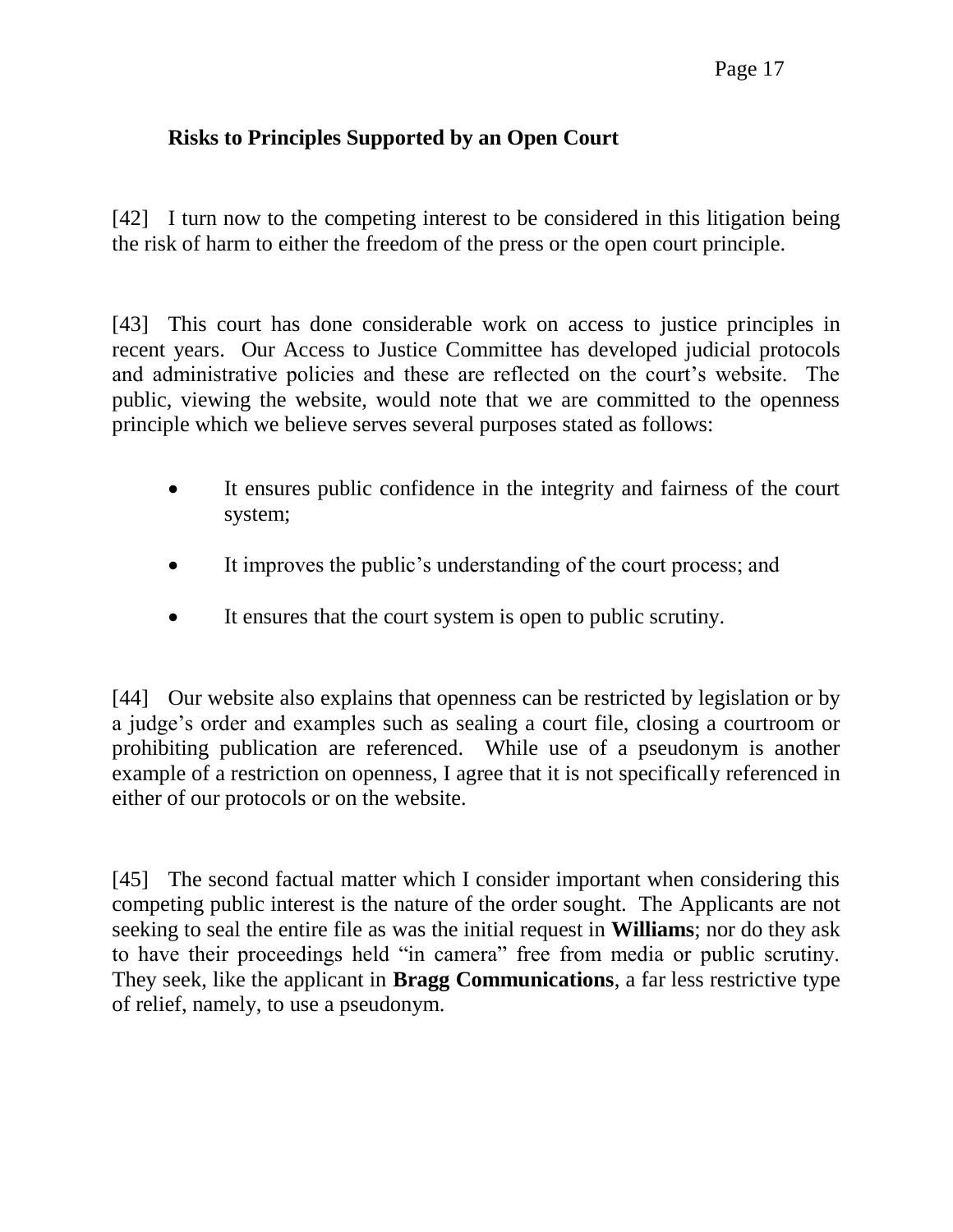### Page 17

### **Risks to Principles Supported by an Open Court**

[42] I turn now to the competing interest to be considered in this litigation being the risk of harm to either the freedom of the press or the open court principle.

[43] This court has done considerable work on access to justice principles in recent years. Our Access to Justice Committee has developed judicial protocols and administrative policies and these are reflected on the court's website. The public, viewing the website, would note that we are committed to the openness principle which we believe serves several purposes stated as follows:

- It ensures public confidence in the integrity and fairness of the court system;
- It improves the public's understanding of the court process; and
- It ensures that the court system is open to public scrutiny.

[44] Our website also explains that openness can be restricted by legislation or by a judge's order and examples such as sealing a court file, closing a courtroom or prohibiting publication are referenced. While use of a pseudonym is another example of a restriction on openness, I agree that it is not specifically referenced in either of our protocols or on the website.

[45] The second factual matter which I consider important when considering this competing public interest is the nature of the order sought. The Applicants are not seeking to seal the entire file as was the initial request in **Williams**; nor do they ask to have their proceedings held "in camera" free from media or public scrutiny. They seek, like the applicant in **Bragg Communications**, a far less restrictive type of relief, namely, to use a pseudonym.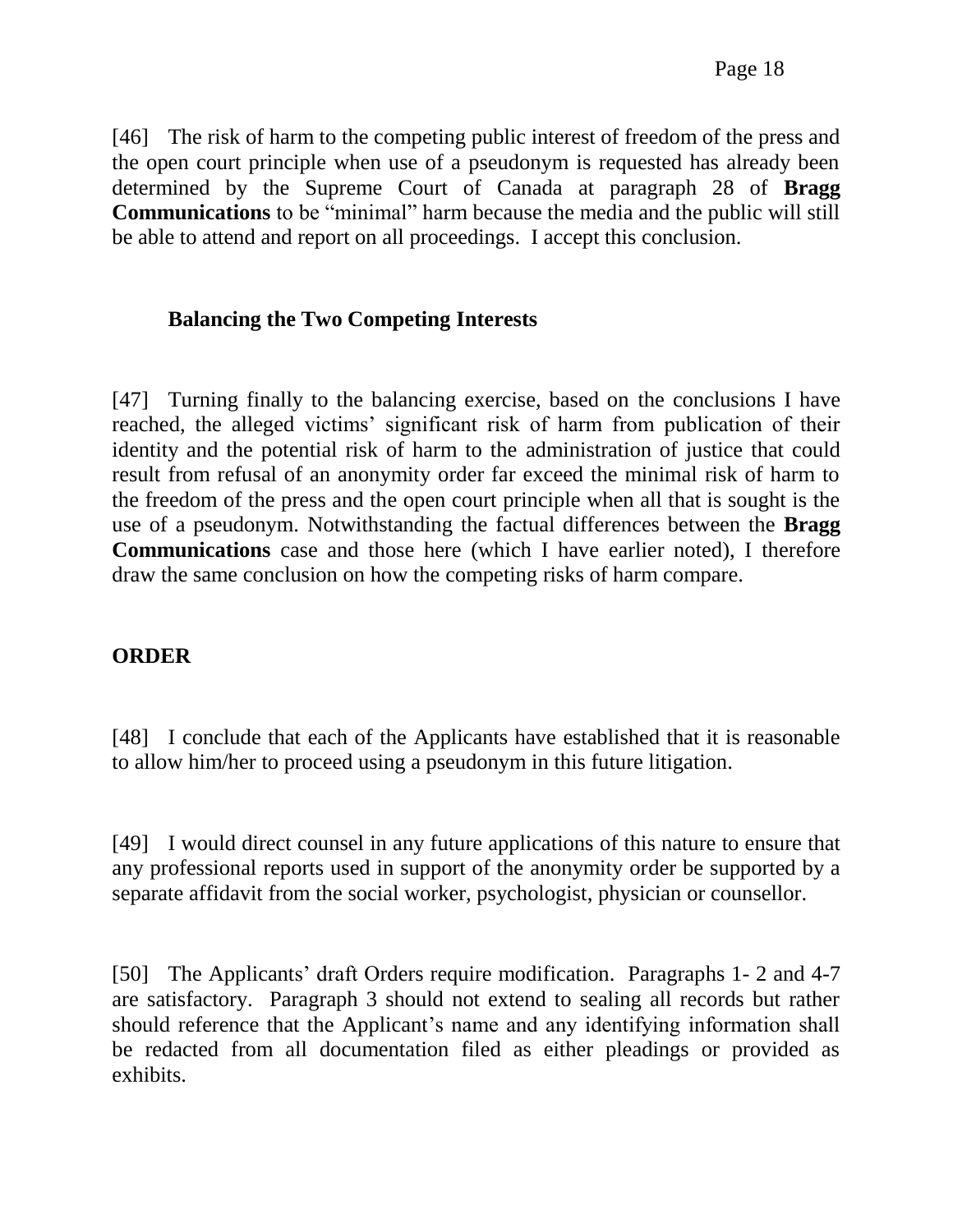[46] The risk of harm to the competing public interest of freedom of the press and the open court principle when use of a pseudonym is requested has already been determined by the Supreme Court of Canada at paragraph 28 of **Bragg Communications** to be "minimal" harm because the media and the public will still be able to attend and report on all proceedings. I accept this conclusion.

### **Balancing the Two Competing Interests**

[47] Turning finally to the balancing exercise, based on the conclusions I have reached, the alleged victims' significant risk of harm from publication of their identity and the potential risk of harm to the administration of justice that could result from refusal of an anonymity order far exceed the minimal risk of harm to the freedom of the press and the open court principle when all that is sought is the use of a pseudonym. Notwithstanding the factual differences between the **Bragg Communications** case and those here (which I have earlier noted), I therefore draw the same conclusion on how the competing risks of harm compare.

### **ORDER**

[48] I conclude that each of the Applicants have established that it is reasonable to allow him/her to proceed using a pseudonym in this future litigation.

[49] I would direct counsel in any future applications of this nature to ensure that any professional reports used in support of the anonymity order be supported by a separate affidavit from the social worker, psychologist, physician or counsellor.

[50] The Applicants' draft Orders require modification. Paragraphs 1- 2 and 4-7 are satisfactory. Paragraph 3 should not extend to sealing all records but rather should reference that the Applicant's name and any identifying information shall be redacted from all documentation filed as either pleadings or provided as exhibits.